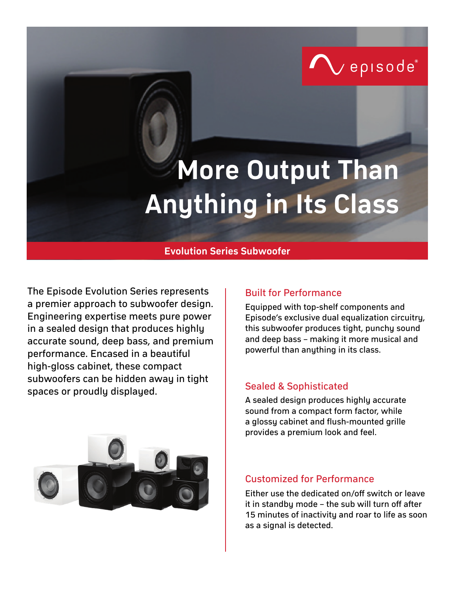

# **More Output Than Anything in Its Class**

## **Evolution Series Subwoofer**

The Episode Evolution Series represents | Built for Performance a premier approach to subwoofer design. Engineering expertise meets pure power in a sealed design that produces highly accurate sound, deep bass, and premium performance. Encased in a beautiful high-gloss cabinet, these compact subwoofers can be hidden away in tight spaces or proudly displayed.



Equipped with top-shelf components and Episode's exclusive dual equalization circuitry, this subwoofer produces tight, punchy sound and deep bass – making it more musical and powerful than anything in its class.

## Sealed & Sophisticated

A sealed design produces highly accurate sound from a compact form factor, while a glossy cabinet and flush-mounted grille provides a premium look and feel.

### Customized for Performance

Either use the dedicated on/off switch or leave it in standby mode – the sub will turn off after 15 minutes of inactivity and roar to life as soon as a signal is detected.